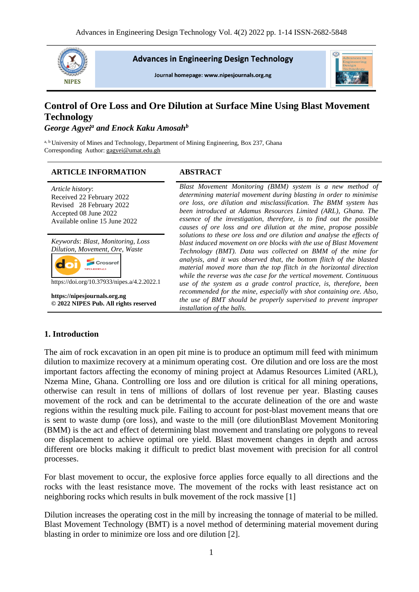

**Advances in Engineering Design Technology** 

Journal homepage: www.nipesjournals.org.ng



# **Control of Ore Loss and Ore Dilution at Surface Mine Using Blast Movement Technology**

*George Agyei<sup>a</sup> and Enock Kaku Amosah<sup>b</sup>*

a, b University of Mines and Technology, Department of Mining Engineering, Box 237, Ghana Corresponding Author[: gagyei@umat.edu.gh](mailto:gagyei@umat.edu.gh) 

#### **ARTICLE INFORMATION ABSTRACT**

| Article history:<br>Received 22 February 2022<br>Revised 28 February 2022<br>Accepted 08 June 2022<br>Available online 15 June 2022                                                         | Blast Movement Monitoring (BMM) system is a new method of<br>determining material movement during blasting in order to minimise<br>ore loss, ore dilution and misclassification. The BMM system has<br>been introduced at Adamus Resources Limited (ARL), Ghana. The<br>essence of the investigation, therefore, is to find out the possible<br>causes of ore loss and ore dilution at the mine, propose possible                                                                                                                                                                                                                                                                    |
|---------------------------------------------------------------------------------------------------------------------------------------------------------------------------------------------|--------------------------------------------------------------------------------------------------------------------------------------------------------------------------------------------------------------------------------------------------------------------------------------------------------------------------------------------------------------------------------------------------------------------------------------------------------------------------------------------------------------------------------------------------------------------------------------------------------------------------------------------------------------------------------------|
| Keywords: Blast, Monitoring, Loss<br>Dilution, Movement, Ore, Waste<br>https://doi.org/10.37933/nipes.a/4.2.2022.1<br>https://nipesjournals.org.ng<br>© 2022 NIPES Pub. All rights reserved | solutions to these ore loss and ore dilution and analyse the effects of<br>blast induced movement on ore blocks with the use of Blast Movement<br>Technology (BMT). Data was collected on BMM of the mine for<br>analysis, and it was observed that, the bottom flitch of the blasted<br>material moved more than the top flitch in the horizontal direction<br>while the reverse was the case for the vertical movement. Continuous<br>use of the system as a grade control practice, is, therefore, been<br>recommended for the mine, especially with shot containing ore. Also,<br>the use of BMT should be properly supervised to prevent improper<br>installation of the balls. |

#### **1. Introduction**

The aim of rock excavation in an open pit mine is to produce an optimum mill feed with minimum dilution to maximize recovery at a minimum operating cost. Ore dilution and ore loss are the most important factors affecting the economy of mining project at Adamus Resources Limited (ARL), Nzema Mine, Ghana. Controlling ore loss and ore dilution is critical for all mining operations, otherwise can result in tens of millions of dollars of lost revenue per year. Blasting causes movement of the rock and can be detrimental to the accurate delineation of the ore and waste regions within the resulting muck pile. Failing to account for post-blast movement means that ore is sent to waste dump (ore loss), and waste to the mill (ore dilutionBlast Movement Monitoring (BMM) is the act and effect of determining blast movement and translating ore polygons to reveal ore displacement to achieve optimal ore yield. Blast movement changes in depth and across different ore blocks making it difficult to predict blast movement with precision for all control processes.

For blast movement to occur, the explosive force applies force equally to all directions and the rocks with the least resistance move. The movement of the rocks with least resistance act on neighboring rocks which results in bulk movement of the rock massive [1]

Dilution increases the operating cost in the mill by increasing the tonnage of material to be milled. Blast Movement Technology (BMT) is a novel method of determining material movement during blasting in order to minimize ore loss and ore dilution [2].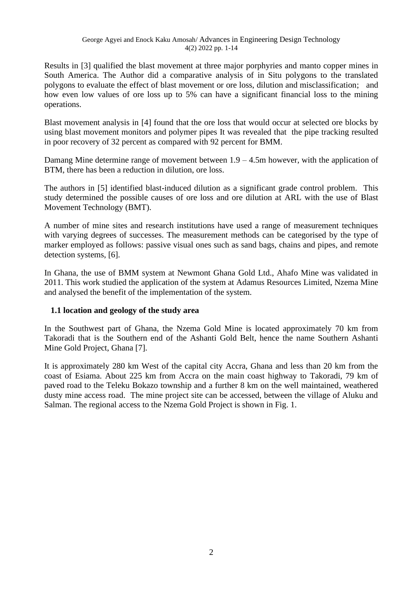Results in [3] qualified the blast movement at three major porphyries and manto copper mines in South America. The Author did a comparative analysis of in Situ polygons to the translated polygons to evaluate the effect of blast movement or ore loss, dilution and misclassification; and how even low values of ore loss up to 5% can have a significant financial loss to the mining operations.

Blast movement analysis in [4] found that the ore loss that would occur at selected ore blocks by using blast movement monitors and polymer pipes It was revealed that the pipe tracking resulted in poor recovery of 32 percent as compared with 92 percent for BMM.

Damang Mine determine range of movement between  $1.9 - 4.5$ m however, with the application of BTM, there has been a reduction in dilution, ore loss.

The authors in [5] identified blast-induced dilution as a significant grade control problem. This study determined the possible causes of ore loss and ore dilution at ARL with the use of Blast Movement Technology (BMT).

A number of mine sites and research institutions have used a range of measurement techniques with varying degrees of successes. The measurement methods can be categorised by the type of marker employed as follows: passive visual ones such as sand bags, chains and pipes, and remote detection systems, [6].

In Ghana, the use of BMM system at Newmont Ghana Gold Ltd., Ahafo Mine was validated in 2011. This work studied the application of the system at Adamus Resources Limited, Nzema Mine and analysed the benefit of the implementation of the system.

# **1.1 location and geology of the study area**

In the Southwest part of Ghana, the Nzema Gold Mine is located approximately 70 km from Takoradi that is the Southern end of the Ashanti Gold Belt, hence the name Southern Ashanti Mine Gold Project, Ghana [7].

It is approximately 280 km West of the capital city Accra, Ghana and less than 20 km from the coast of Esiama. About 225 km from Accra on the main coast highway to Takoradi, 79 km of paved road to the Teleku Bokazo township and a further 8 km on the well maintained, weathered dusty mine access road. The mine project site can be accessed, between the village of Aluku and Salman. The regional access to the Nzema Gold Project is shown in Fig. 1.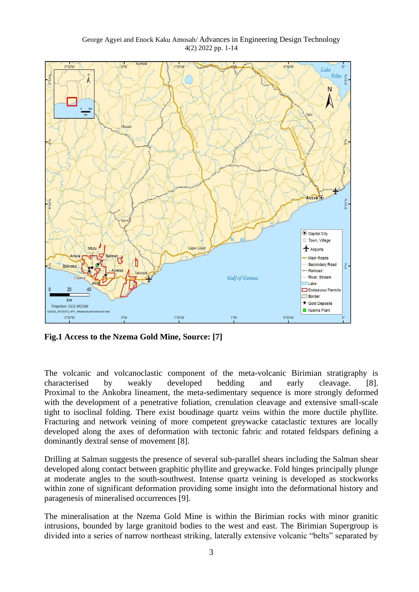

**Fig.1 Access to the Nzema Gold Mine, Source: [7]**

The volcanic and volcanoclastic component of the meta-volcanic Birimian stratigraphy is characterised by weakly developed bedding and early cleavage. [8]. Proximal to the Ankobra lineament, the meta-sedimentary sequence is more strongly deformed with the development of a penetrative foliation, crenulation cleavage and extensive small-scale tight to isoclinal folding. There exist boudinage quartz veins within the more ductile phyllite. Fracturing and network veining of more competent greywacke cataclastic textures are locally developed along the axes of deformation with tectonic fabric and rotated feldspars defining a dominantly dextral sense of movement [8].

Drilling at Salman suggests the presence of several sub-parallel shears including the Salman shear developed along contact between graphitic phyllite and greywacke. Fold hinges principally plunge at moderate angles to the south-southwest. Intense quartz veining is developed as stockworks within zone of significant deformation providing some insight into the deformational history and paragenesis of mineralised occurrences [9].

The mineralisation at the Nzema Gold Mine is within the Birimian rocks with minor granitic intrusions, bounded by large granitoid bodies to the west and east. The Birimian Supergroup is divided into a series of narrow northeast striking, laterally extensive volcanic "belts" separated by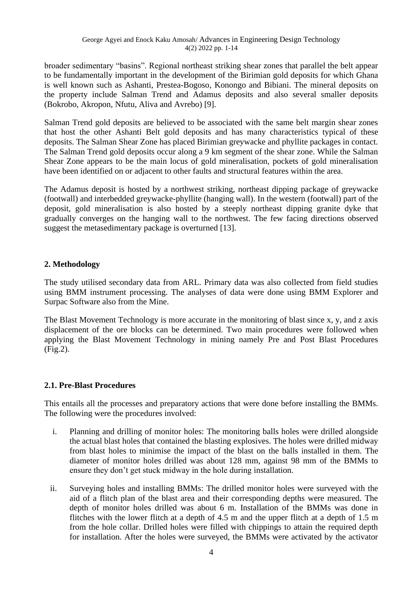broader sedimentary "basins". Regional northeast striking shear zones that parallel the belt appear to be fundamentally important in the development of the Birimian gold deposits for which Ghana is well known such as Ashanti, Prestea-Bogoso, Konongo and Bibiani. The mineral deposits on the property include Salman Trend and Adamus deposits and also several smaller deposits (Bokrobo, Akropon, Nfutu, Aliva and Avrebo) [9].

Salman Trend gold deposits are believed to be associated with the same belt margin shear zones that host the other Ashanti Belt gold deposits and has many characteristics typical of these deposits. The Salman Shear Zone has placed Birimian greywacke and phyllite packages in contact. The Salman Trend gold deposits occur along a 9 km segment of the shear zone. While the Salman Shear Zone appears to be the main locus of gold mineralisation, pockets of gold mineralisation have been identified on or adjacent to other faults and structural features within the area.

The Adamus deposit is hosted by a northwest striking, northeast dipping package of greywacke (footwall) and interbedded greywacke-phyllite (hanging wall). In the western (footwall) part of the deposit, gold mineralisation is also hosted by a steeply northeast dipping granite dyke that gradually converges on the hanging wall to the northwest. The few facing directions observed suggest the metasedimentary package is overturned [13].

# **2. Methodology**

The study utilised secondary data from ARL. Primary data was also collected from field studies using BMM instrument processing. The analyses of data were done using BMM Explorer and Surpac Software also from the Mine.

The Blast Movement Technology is more accurate in the monitoring of blast since x, y, and z axis displacement of the ore blocks can be determined. Two main procedures were followed when applying the Blast Movement Technology in mining namely Pre and Post Blast Procedures (Fig.2).

# **2.1. Pre-Blast Procedures**

This entails all the processes and preparatory actions that were done before installing the BMMs. The following were the procedures involved:

- i. Planning and drilling of monitor holes: The monitoring balls holes were drilled alongside the actual blast holes that contained the blasting explosives. The holes were drilled midway from blast holes to minimise the impact of the blast on the balls installed in them. The diameter of monitor holes drilled was about 128 mm, against 98 mm of the BMMs to ensure they don't get stuck midway in the hole during installation.
- ii. Surveying holes and installing BMMs: The drilled monitor holes were surveyed with the aid of a flitch plan of the blast area and their corresponding depths were measured. The depth of monitor holes drilled was about 6 m. Installation of the BMMs was done in flitches with the lower flitch at a depth of 4.5 m and the upper flitch at a depth of 1.5 m from the hole collar. Drilled holes were filled with chippings to attain the required depth for installation. After the holes were surveyed, the BMMs were activated by the activator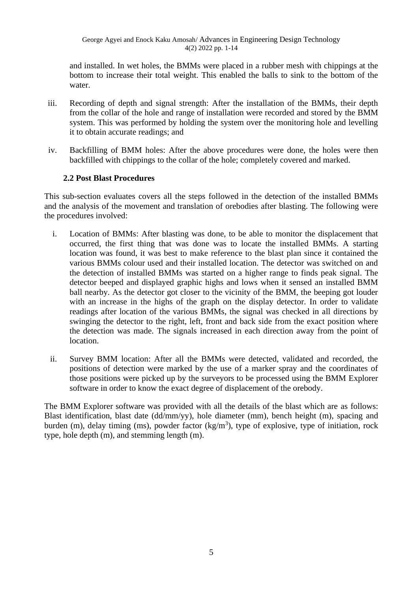and installed. In wet holes, the BMMs were placed in a rubber mesh with chippings at the bottom to increase their total weight. This enabled the balls to sink to the bottom of the water.

- iii. Recording of depth and signal strength: After the installation of the BMMs, their depth from the collar of the hole and range of installation were recorded and stored by the BMM system. This was performed by holding the system over the monitoring hole and levelling it to obtain accurate readings; and
- iv. Backfilling of BMM holes: After the above procedures were done, the holes were then backfilled with chippings to the collar of the hole; completely covered and marked.

# **2.2 Post Blast Procedures**

This sub-section evaluates covers all the steps followed in the detection of the installed BMMs and the analysis of the movement and translation of orebodies after blasting. The following were the procedures involved:

- i. Location of BMMs: After blasting was done, to be able to monitor the displacement that occurred, the first thing that was done was to locate the installed BMMs. A starting location was found, it was best to make reference to the blast plan since it contained the various BMMs colour used and their installed location. The detector was switched on and the detection of installed BMMs was started on a higher range to finds peak signal. The detector beeped and displayed graphic highs and lows when it sensed an installed BMM ball nearby. As the detector got closer to the vicinity of the BMM, the beeping got louder with an increase in the highs of the graph on the display detector. In order to validate readings after location of the various BMMs, the signal was checked in all directions by swinging the detector to the right, left, front and back side from the exact position where the detection was made. The signals increased in each direction away from the point of location.
- ii. Survey BMM location: After all the BMMs were detected, validated and recorded, the positions of detection were marked by the use of a marker spray and the coordinates of those positions were picked up by the surveyors to be processed using the BMM Explorer software in order to know the exact degree of displacement of the orebody.

The BMM Explorer software was provided with all the details of the blast which are as follows: Blast identification, blast date (dd/mm/yy), hole diameter (mm), bench height (m), spacing and burden (m), delay timing (ms), powder factor  $(kg/m<sup>3</sup>)$ , type of explosive, type of initiation, rock type, hole depth (m), and stemming length (m).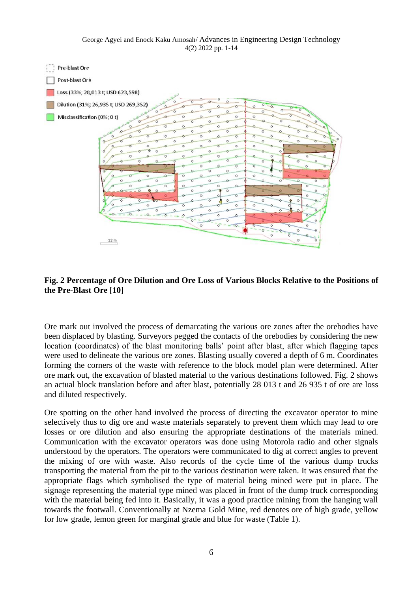George Agyei and Enock Kaku Amosah/ Advances in Engineering Design Technology 4(2) 2022 pp. 1-14



#### **Fig. 2 Percentage of Ore Dilution and Ore Loss of Various Blocks Relative to the Positions of the Pre-Blast Ore [10]**

Ore mark out involved the process of demarcating the various ore zones after the orebodies have been displaced by blasting. Surveyors pegged the contacts of the orebodies by considering the new location (coordinates) of the blast monitoring balls' point after blast, after which flagging tapes were used to delineate the various ore zones. Blasting usually covered a depth of 6 m. Coordinates forming the corners of the waste with reference to the block model plan were determined. After ore mark out, the excavation of blasted material to the various destinations followed. Fig. 2 shows an actual block translation before and after blast, potentially 28 013 t and 26 935 t of ore are loss and diluted respectively.

Ore spotting on the other hand involved the process of directing the excavator operator to mine selectively thus to dig ore and waste materials separately to prevent them which may lead to ore losses or ore dilution and also ensuring the appropriate destinations of the materials mined. Communication with the excavator operators was done using Motorola radio and other signals understood by the operators. The operators were communicated to dig at correct angles to prevent the mixing of ore with waste. Also records of the cycle time of the various dump trucks transporting the material from the pit to the various destination were taken. It was ensured that the appropriate flags which symbolised the type of material being mined were put in place. The signage representing the material type mined was placed in front of the dump truck corresponding with the material being fed into it. Basically, it was a good practice mining from the hanging wall towards the footwall. Conventionally at Nzema Gold Mine, red denotes ore of high grade, yellow for low grade, lemon green for marginal grade and blue for waste (Table 1).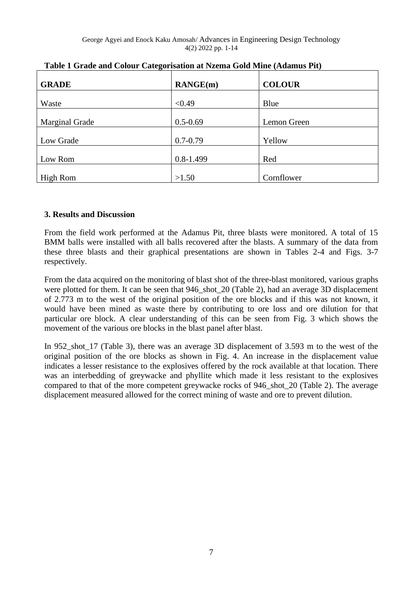| <b>GRADE</b>    | $\mathbf{R}$ ANGE $(\mathbf{m})$ | <b>COLOUR</b> |
|-----------------|----------------------------------|---------------|
| Waste           | < 0.49                           | Blue          |
| Marginal Grade  | $0.5 - 0.69$                     | Lemon Green   |
| Low Grade       | $0.7 - 0.79$                     | Yellow        |
| Low Rom         | $0.8 - 1.499$                    | Red           |
| <b>High Rom</b> | >1.50                            | Cornflower    |

| Table 1 Grade and Colour Categorisation at Nzema Gold Mine (Adamus Pit) |  |
|-------------------------------------------------------------------------|--|
|-------------------------------------------------------------------------|--|

# **3. Results and Discussion**

From the field work performed at the Adamus Pit, three blasts were monitored. A total of 15 BMM balls were installed with all balls recovered after the blasts. A summary of the data from these three blasts and their graphical presentations are shown in Tables 2-4 and Figs. 3-7 respectively.

From the data acquired on the monitoring of blast shot of the three-blast monitored, various graphs were plotted for them. It can be seen that 946 shot 20 (Table 2), had an average 3D displacement of 2.773 m to the west of the original position of the ore blocks and if this was not known, it would have been mined as waste there by contributing to ore loss and ore dilution for that particular ore block. A clear understanding of this can be seen from Fig. 3 which shows the movement of the various ore blocks in the blast panel after blast.

In 952\_shot\_17 (Table 3), there was an average 3D displacement of 3.593 m to the west of the original position of the ore blocks as shown in Fig. 4. An increase in the displacement value indicates a lesser resistance to the explosives offered by the rock available at that location. There was an interbedding of greywacke and phyllite which made it less resistant to the explosives compared to that of the more competent greywacke rocks of 946\_shot\_20 (Table 2). The average displacement measured allowed for the correct mining of waste and ore to prevent dilution.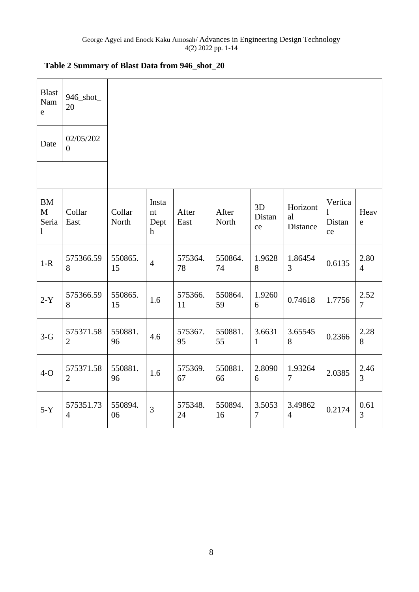| <b>Blast</b><br>Nam<br>$\mathbf{e}$     | 946_shot_<br>20             |                 |                                    |               |                |                    |                            |                              |                        |
|-----------------------------------------|-----------------------------|-----------------|------------------------------------|---------------|----------------|--------------------|----------------------------|------------------------------|------------------------|
| Date                                    | 02/05/202<br>$\overline{0}$ |                 |                                    |               |                |                    |                            |                              |                        |
|                                         |                             |                 |                                    |               |                |                    |                            |                              |                        |
| <b>BM</b><br>M<br>Seria<br>$\mathbf{1}$ | Collar<br>East              | Collar<br>North | Insta<br>nt<br>Dept<br>$\mathbf h$ | After<br>East | After<br>North | 3D<br>Distan<br>ce | Horizont<br>al<br>Distance | Vertica<br>1<br>Distan<br>ce | Heav<br>${\rm e}$      |
| $1-R$                                   | 575366.59<br>8              | 550865.<br>15   | $\overline{4}$                     | 575364.<br>78 | 550864.<br>74  | 1.9628<br>8        | 1.86454<br>3               | 0.6135                       | 2.80<br>$\overline{4}$ |
| $2-Y$                                   | 575366.59<br>8              | 550865.<br>15   | 1.6                                | 575366.<br>11 | 550864.<br>59  | 1.9260<br>6        | 0.74618                    | 1.7756                       | 2.52<br>7              |
| $3-G$                                   | 575371.58<br>$\overline{2}$ | 550881.<br>96   | 4.6                                | 575367.<br>95 | 550881.<br>55  | 3.6631<br>1        | 3.65545<br>8               | 0.2366                       | 2.28<br>8              |
| $4-O$                                   | 575371.58<br>$\overline{2}$ | 550881.<br>96   | 1.6                                | 575369.<br>67 | 550881.<br>66  | 2.8090<br>6        | 1.93264<br>$\overline{7}$  | 2.0385                       | 2.46<br>$\overline{3}$ |
| $5-Y$                                   | 575351.73<br>$\overline{4}$ | 550894.<br>06   | $\overline{3}$                     | 575348.<br>24 | 550894.<br>16  | 3.5053<br>$\tau$   | 3.49862<br>$\overline{4}$  | 0.2174                       | 0.61<br>3              |

# **Table 2 Summary of Blast Data from 946\_shot\_20**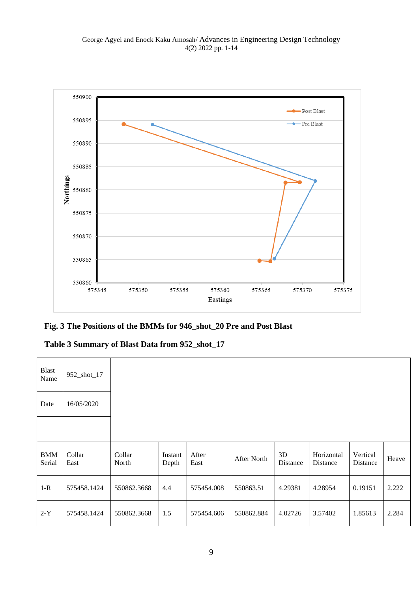

# **Fig. 3 The Positions of the BMMs for 946\_shot\_20 Pre and Post Blast**

# **Table 3 Summary of Blast Data from 952\_shot\_17**

| <b>Blast</b><br>Name | 952_shot_17    |                 |                  |               |             |                |                        |                      |       |
|----------------------|----------------|-----------------|------------------|---------------|-------------|----------------|------------------------|----------------------|-------|
| Date                 | 16/05/2020     |                 |                  |               |             |                |                        |                      |       |
|                      |                |                 |                  |               |             |                |                        |                      |       |
| <b>BMM</b><br>Serial | Collar<br>East | Collar<br>North | Instant<br>Depth | After<br>East | After North | 3D<br>Distance | Horizontal<br>Distance | Vertical<br>Distance | Heave |
| $1-R$                | 575458.1424    | 550862.3668     | 4.4              | 575454.008    | 550863.51   | 4.29381        | 4.28954                | 0.19151              | 2.222 |
| $2-Y$                | 575458.1424    | 550862.3668     | 1.5              | 575454.606    | 550862.884  | 4.02726        | 3.57402                | 1.85613              | 2.284 |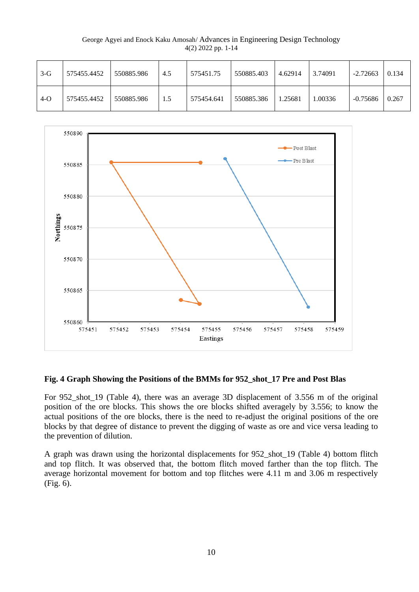George Agyei and Enock Kaku Amosah/ Advances in Engineering Design Technology 4(2) 2022 pp. 1-14

| $3-G$ | 575455.4452 | 550885.986 | 4.5 | 575451.75  | 550885.403 | 4.62914 | 3.74091 | $-2.72663$ | 0.134 |
|-------|-------------|------------|-----|------------|------------|---------|---------|------------|-------|
| $4-O$ | 575455.4452 | 550885.986 | 1.5 | 575454.641 | 550885.386 | 1.25681 | 1.00336 | $-0.75686$ | 0.267 |



#### **Fig. 4 Graph Showing the Positions of the BMMs for 952\_shot\_17 Pre and Post Blas**

For 952\_shot\_19 (Table 4), there was an average 3D displacement of 3.556 m of the original position of the ore blocks. This shows the ore blocks shifted averagely by 3.556; to know the actual positions of the ore blocks, there is the need to re-adjust the original positions of the ore blocks by that degree of distance to prevent the digging of waste as ore and vice versa leading to the prevention of dilution.

A graph was drawn using the horizontal displacements for 952\_shot\_19 (Table 4) bottom flitch and top flitch. It was observed that, the bottom flitch moved farther than the top flitch. The average horizontal movement for bottom and top flitches were 4.11 m and 3.06 m respectively (Fig. 6).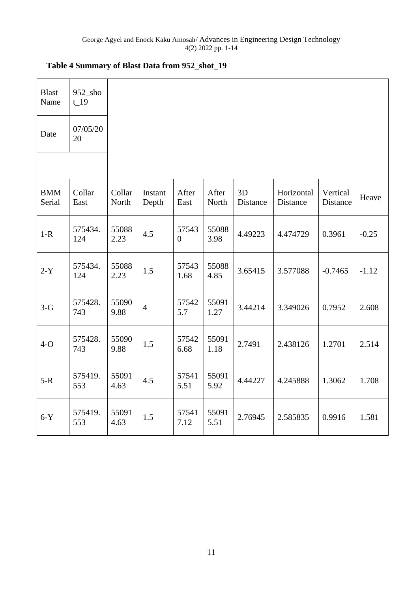| Table 4 Summary of Blast Data from 952_shot_19 |  |  |  |
|------------------------------------------------|--|--|--|
|------------------------------------------------|--|--|--|

| <b>Blast</b><br>Name | $952$ _sho<br>$t_{19}$ |                 |                  |                         |                |                |                        |                      |         |
|----------------------|------------------------|-----------------|------------------|-------------------------|----------------|----------------|------------------------|----------------------|---------|
| Date                 | 07/05/20<br>20         |                 |                  |                         |                |                |                        |                      |         |
|                      |                        |                 |                  |                         |                |                |                        |                      |         |
| <b>BMM</b><br>Serial | Collar<br>East         | Collar<br>North | Instant<br>Depth | After<br>East           | After<br>North | 3D<br>Distance | Horizontal<br>Distance | Vertical<br>Distance | Heave   |
| $1-R$                | 575434.<br>124         | 55088<br>2.23   | 4.5              | 57543<br>$\overline{0}$ | 55088<br>3.98  | 4.49223        | 4.474729               | 0.3961               | $-0.25$ |
| $2-Y$                | 575434.<br>124         | 55088<br>2.23   | 1.5              | 57543<br>1.68           | 55088<br>4.85  | 3.65415        | 3.577088               | $-0.7465$            | $-1.12$ |
| $3-G$                | 575428.<br>743         | 55090<br>9.88   | $\overline{4}$   | 57542<br>5.7            | 55091<br>1.27  | 3.44214        | 3.349026               | 0.7952               | 2.608   |
| $4-O$                | 575428.<br>743         | 55090<br>9.88   | 1.5              | 57542<br>6.68           | 55091<br>1.18  | 2.7491         | 2.438126               | 1.2701               | 2.514   |
| $5-R$                | 575419.<br>553         | 55091<br>4.63   | 4.5              | 57541<br>5.51           | 55091<br>5.92  | 4.44227        | 4.245888               | 1.3062               | 1.708   |
| $6-Y$                | 575419.<br>553         | 55091<br>4.63   | 1.5              | 57541<br>7.12           | 55091<br>5.51  | 2.76945        | 2.585835               | 0.9916               | 1.581   |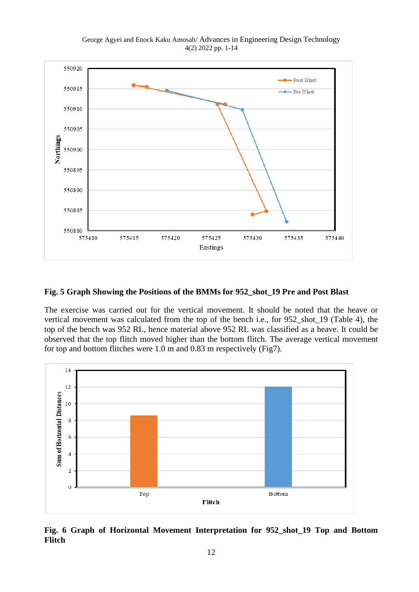George Agyei and Enock Kaku Amosah/ Advances in Engineering Design Technology 4(2) 2022 pp. 1-14



#### **Fig. 5 Graph Showing the Positions of the BMMs for 952\_shot\_19 Pre and Post Blast**

The exercise was carried out for the vertical movement. It should be noted that the heave or vertical movement was calculated from the top of the bench i.e., for 952\_shot\_19 (Table 4), the top of the bench was 952 RL, hence material above 952 RL was classified as a heave. It could be observed that the top flitch moved higher than the bottom flitch. The average vertical movement for top and bottom flitches were 1.0 m and 0.83 m respectively (Fig7).



**Fig. 6 Graph of Horizontal Movement Interpretation for 952\_shot\_19 Top and Bottom Flitch**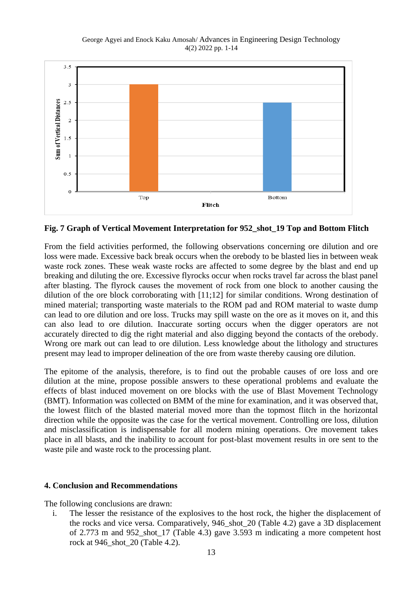

**Fig. 7 Graph of Vertical Movement Interpretation for 952\_shot\_19 Top and Bottom Flitch**

From the field activities performed, the following observations concerning ore dilution and ore loss were made. Excessive back break occurs when the orebody to be blasted lies in between weak waste rock zones. These weak waste rocks are affected to some degree by the blast and end up breaking and diluting the ore. Excessive flyrocks occur when rocks travel far across the blast panel after blasting. The flyrock causes the movement of rock from one block to another causing the dilution of the ore block corroborating with [11;12] for similar conditions. Wrong destination of mined material; transporting waste materials to the ROM pad and ROM material to waste dump can lead to ore dilution and ore loss. Trucks may spill waste on the ore as it moves on it, and this can also lead to ore dilution. Inaccurate sorting occurs when the digger operators are not accurately directed to dig the right material and also digging beyond the contacts of the orebody. Wrong ore mark out can lead to ore dilution. Less knowledge about the lithology and structures present may lead to improper delineation of the ore from waste thereby causing ore dilution.

The epitome of the analysis, therefore, is to find out the probable causes of ore loss and ore dilution at the mine, propose possible answers to these operational problems and evaluate the effects of blast induced movement on ore blocks with the use of Blast Movement Technology (BMT). Information was collected on BMM of the mine for examination, and it was observed that, the lowest flitch of the blasted material moved more than the topmost flitch in the horizontal direction while the opposite was the case for the vertical movement. Controlling ore loss, dilution and misclassification is indispensable for all modern mining operations. Ore movement takes place in all blasts, and the inability to account for post-blast movement results in ore sent to the waste pile and waste rock to the processing plant.

# **4. Conclusion and Recommendations**

The following conclusions are drawn:

i. The lesser the resistance of the explosives to the host rock, the higher the displacement of the rocks and vice versa. Comparatively, 946\_shot\_20 (Table 4.2) gave a 3D displacement of 2.773 m and 952\_shot\_17 (Table 4.3) gave 3.593 m indicating a more competent host rock at 946\_shot\_20 (Table 4.2).